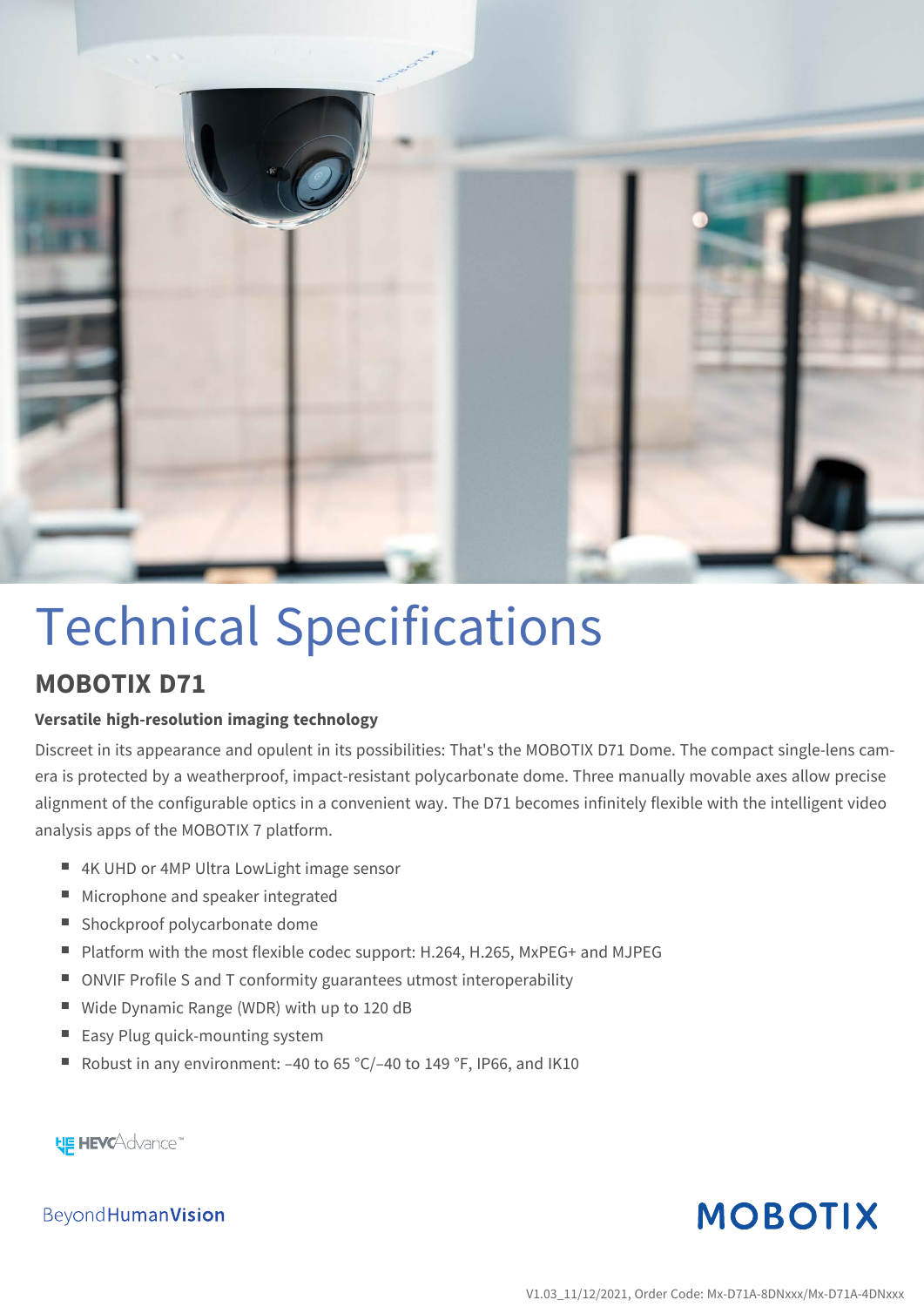

# Technical Specifications

#### **MOBOTIX D71**

#### **Versatile high-resolution imaging technology**

Discreet in its appearance and opulent in its possibilities: That's the MOBOTIX D71 Dome. The compact single-lens camera is protected by a weatherproof, impact-resistant polycarbonate dome. Three manually movable axes allow precise alignment of the configurable optics in a convenient way. The D71 becomes infinitely flexible with the intelligent video analysis apps of the MOBOTIX 7 platform.

- 4K UHD or 4MP Ultra LowLight image sensor
- Microphone and speaker integrated
- Shockproof polycarbonate dome
- Platform with the most flexible codec support: H.264, H.265, MxPEG+ and MJPEG
- ONVIF Profile S and T conformity guarantees utmost interoperability
- Wide Dynamic Range (WDR) with up to 120 dB
- Easy Plug quick-mounting system
- Robust in any environment: -40 to 65 °C/-40 to 149 °F, IP66, and IK10

**HE HEVCAdvance** 

Beyond Human Vision

### **MOBOTIX**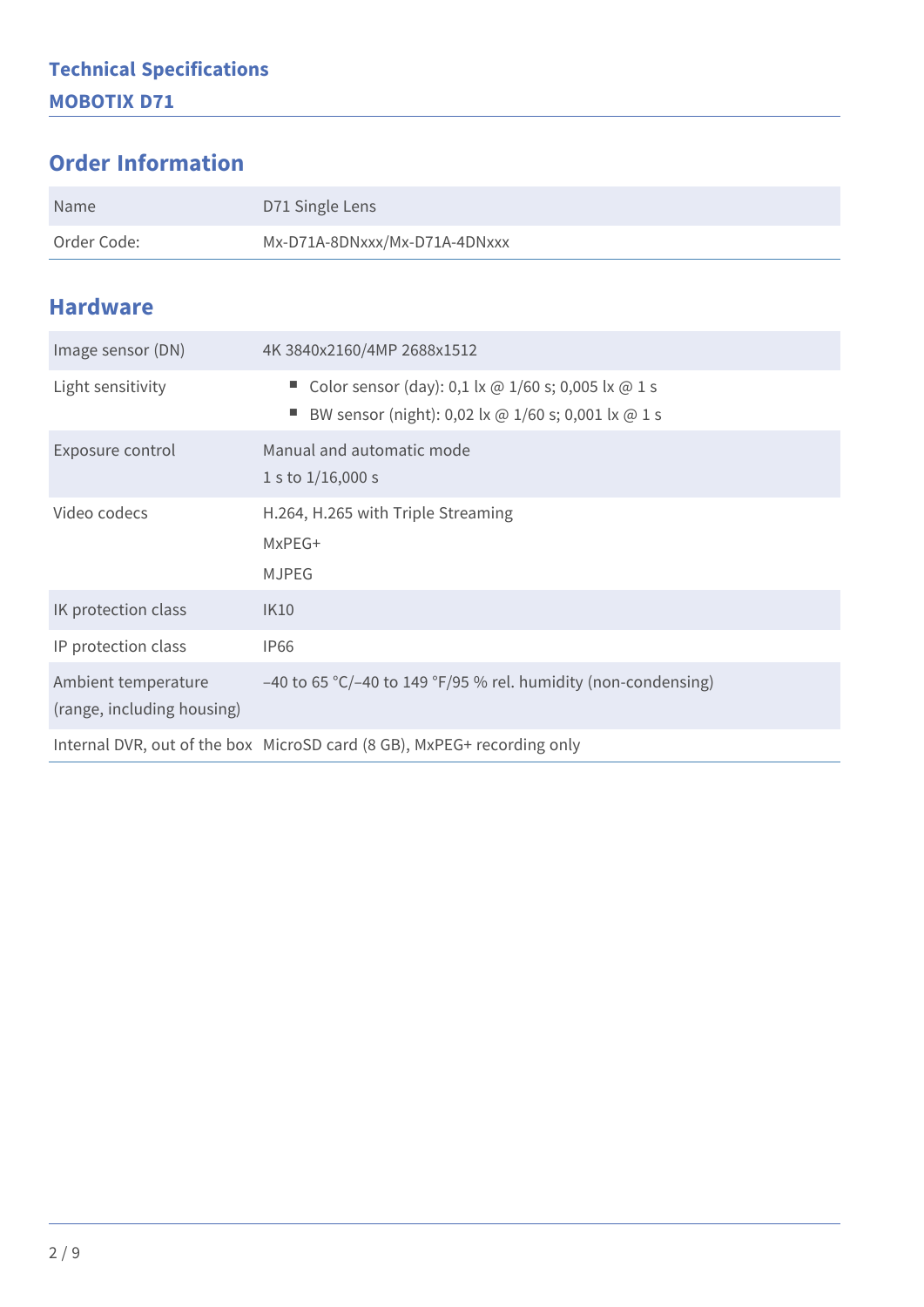#### **Order Information**

| Name        | D71 Single Lens               |
|-------------|-------------------------------|
| Order Code: | Mx-D71A-8DNxxx/Mx-D71A-4DNxxx |

#### **Hardware**

| Image sensor (DN)                                 | 4K 3840x2160/4MP 2688x1512                                                                                   |  |
|---------------------------------------------------|--------------------------------------------------------------------------------------------------------------|--|
| Light sensitivity                                 | Color sensor (day): 0,1 lx @ $1/60$ s; 0,005 lx @ 1 s<br>BW sensor (night): 0,02 lx @ 1/60 s; 0,001 lx @ 1 s |  |
| Exposure control                                  | Manual and automatic mode<br>1 s to $1/16,000$ s                                                             |  |
| Video codecs                                      | H.264, H.265 with Triple Streaming<br>MxPEG+<br><b>MJPEG</b>                                                 |  |
| IK protection class                               | <b>IK10</b>                                                                                                  |  |
| IP protection class                               | <b>IP66</b>                                                                                                  |  |
| Ambient temperature<br>(range, including housing) | $-40$ to 65 °C/-40 to 149 °F/95 % rel. humidity (non-condensing)                                             |  |
|                                                   | Internal DVR, out of the box MicroSD card (8 GB), MxPEG+ recording only                                      |  |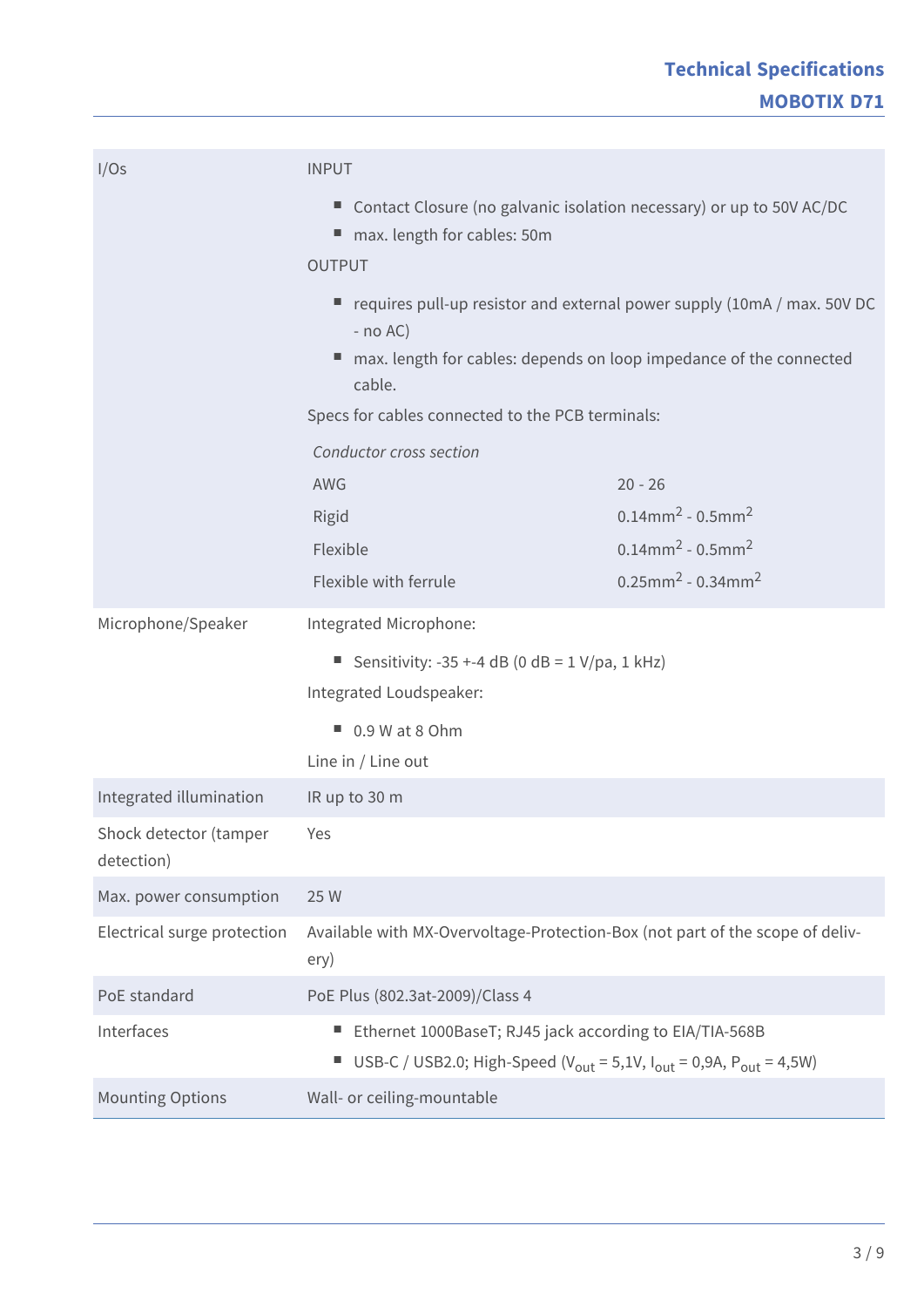| I/Os                                 | <b>INPUT</b>                                                                                                                                                          |                                                |
|--------------------------------------|-----------------------------------------------------------------------------------------------------------------------------------------------------------------------|------------------------------------------------|
|                                      | Contact Closure (no galvanic isolation necessary) or up to 50V AC/DC<br>max. length for cables: 50m<br><b>OUTPUT</b>                                                  |                                                |
|                                      | requires pull-up resistor and external power supply (10mA / max. 50V DC<br>$-$ no AC)                                                                                 |                                                |
|                                      | max. length for cables: depends on loop impedance of the connected<br>cable.                                                                                          |                                                |
|                                      | Specs for cables connected to the PCB terminals:                                                                                                                      |                                                |
|                                      | Conductor cross section                                                                                                                                               |                                                |
|                                      | AWG                                                                                                                                                                   | $20 - 26$                                      |
|                                      | Rigid                                                                                                                                                                 | $0.14$ mm <sup>2</sup> - $0.5$ mm <sup>2</sup> |
|                                      | Flexible                                                                                                                                                              | $0.14$ mm <sup>2</sup> - $0.5$ mm <sup>2</sup> |
|                                      | Flexible with ferrule                                                                                                                                                 | $0.25$ mm <sup>2</sup> - 0.34mm <sup>2</sup>   |
| Microphone/Speaker                   | Integrated Microphone:                                                                                                                                                |                                                |
|                                      | Sensitivity: -35 +-4 dB (0 dB = $1 \text{ V/pa}$ , 1 kHz)                                                                                                             |                                                |
|                                      | Integrated Loudspeaker:                                                                                                                                               |                                                |
|                                      | $\Box$ 0.9 W at 8 Ohm                                                                                                                                                 |                                                |
|                                      | Line in / Line out                                                                                                                                                    |                                                |
| Integrated illumination              | IR up to 30 m                                                                                                                                                         |                                                |
| Shock detector (tamper<br>detection) | Yes                                                                                                                                                                   |                                                |
| Max. power consumption               | 25 W                                                                                                                                                                  |                                                |
| Electrical surge protection          | Available with MX-Overvoltage-Protection-Box (not part of the scope of deliv-<br>ery)                                                                                 |                                                |
| PoE standard                         | PoE Plus (802.3at-2009)/Class 4                                                                                                                                       |                                                |
| Interfaces                           | Ethernet 1000BaseT; RJ45 jack according to EIA/TIA-568B<br>USB-C / USB2.0; High-Speed ( $V_{\text{out}} = 5.1V$ , $I_{\text{out}} = 0.9A$ , $P_{\text{out}} = 4.5W$ ) |                                                |
| <b>Mounting Options</b>              | Wall- or ceiling-mountable                                                                                                                                            |                                                |
|                                      |                                                                                                                                                                       |                                                |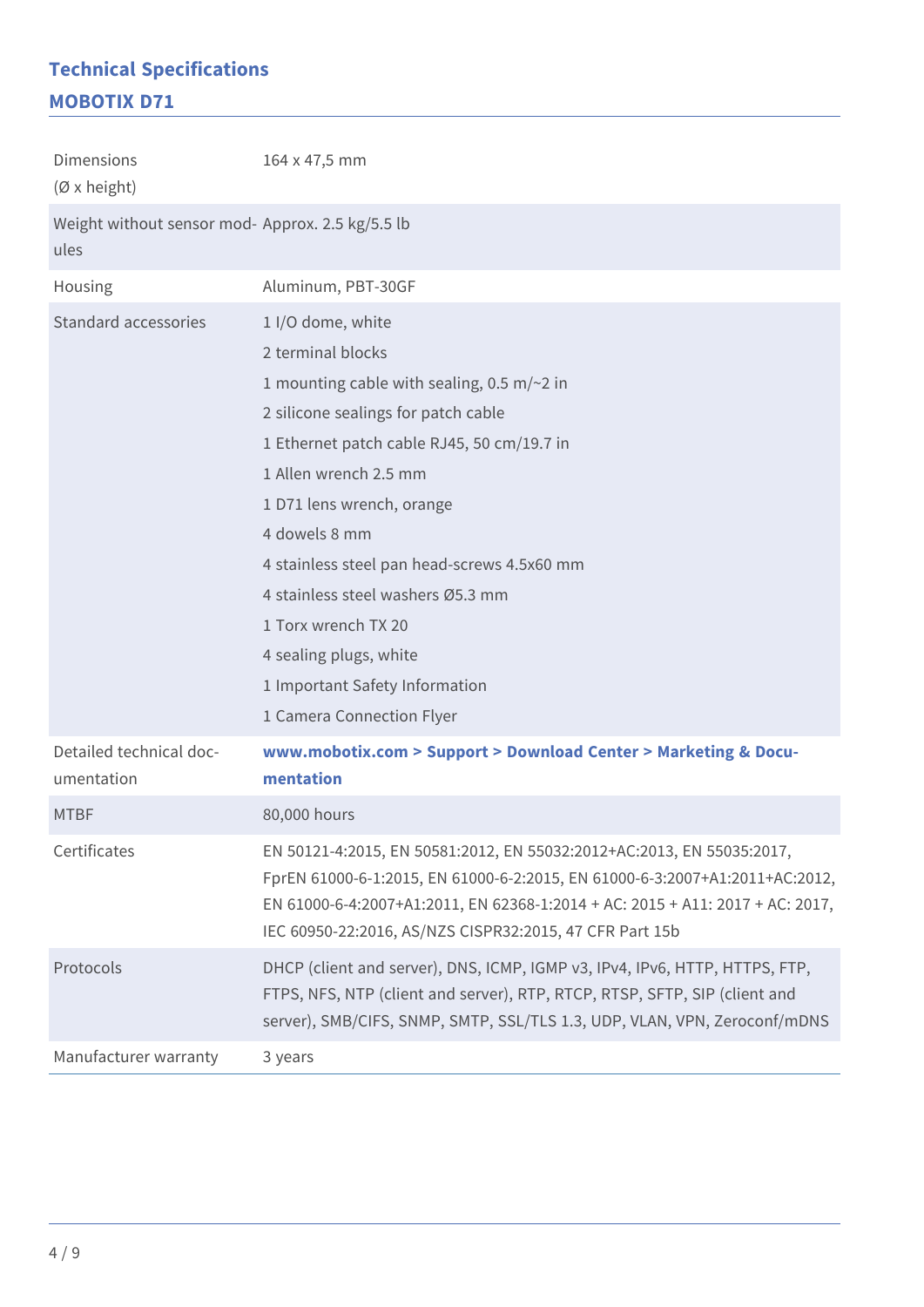#### **Technical Specifications MOBOTIX D71**

| <b>Dimensions</b><br>$(\emptyset$ x height)              | 164 x 47,5 mm                                                                                                                                                                                                                                                                                    |
|----------------------------------------------------------|--------------------------------------------------------------------------------------------------------------------------------------------------------------------------------------------------------------------------------------------------------------------------------------------------|
| Weight without sensor mod- Approx. 2.5 kg/5.5 lb<br>ules |                                                                                                                                                                                                                                                                                                  |
| Housing                                                  | Aluminum, PBT-30GF                                                                                                                                                                                                                                                                               |
| Standard accessories                                     | 1 I/O dome, white                                                                                                                                                                                                                                                                                |
|                                                          | 2 terminal blocks                                                                                                                                                                                                                                                                                |
|                                                          | 1 mounting cable with sealing, 0.5 m/ $\sim$ 2 in                                                                                                                                                                                                                                                |
|                                                          | 2 silicone sealings for patch cable                                                                                                                                                                                                                                                              |
|                                                          | 1 Ethernet patch cable RJ45, 50 cm/19.7 in                                                                                                                                                                                                                                                       |
|                                                          | 1 Allen wrench 2.5 mm                                                                                                                                                                                                                                                                            |
|                                                          | 1 D71 lens wrench, orange                                                                                                                                                                                                                                                                        |
|                                                          | 4 dowels 8 mm                                                                                                                                                                                                                                                                                    |
|                                                          | 4 stainless steel pan head-screws 4.5x60 mm                                                                                                                                                                                                                                                      |
|                                                          | 4 stainless steel washers Ø5.3 mm                                                                                                                                                                                                                                                                |
|                                                          | 1 Torx wrench TX 20                                                                                                                                                                                                                                                                              |
|                                                          | 4 sealing plugs, white                                                                                                                                                                                                                                                                           |
|                                                          | 1 Important Safety Information                                                                                                                                                                                                                                                                   |
|                                                          | 1 Camera Connection Flyer                                                                                                                                                                                                                                                                        |
| Detailed technical doc-<br>umentation                    | www.mobotix.com > Support > Download Center > Marketing & Docu-<br>mentation                                                                                                                                                                                                                     |
| <b>MTBF</b>                                              | 80,000 hours                                                                                                                                                                                                                                                                                     |
| Certificates                                             | EN 50121-4:2015, EN 50581:2012, EN 55032:2012+AC:2013, EN 55035:2017,<br>FprEN 61000-6-1:2015, EN 61000-6-2:2015, EN 61000-6-3:2007+A1:2011+AC:2012,<br>EN 61000-6-4:2007+A1:2011, EN 62368-1:2014 + AC: 2015 + A11: 2017 + AC: 2017,<br>IEC 60950-22:2016, AS/NZS CISPR32:2015, 47 CFR Part 15b |
| Protocols                                                | DHCP (client and server), DNS, ICMP, IGMP v3, IPv4, IPv6, HTTP, HTTPS, FTP,<br>FTPS, NFS, NTP (client and server), RTP, RTCP, RTSP, SFTP, SIP (client and<br>server), SMB/CIFS, SNMP, SMTP, SSL/TLS 1.3, UDP, VLAN, VPN, Zeroconf/mDNS                                                           |
| Manufacturer warranty                                    | 3 years                                                                                                                                                                                                                                                                                          |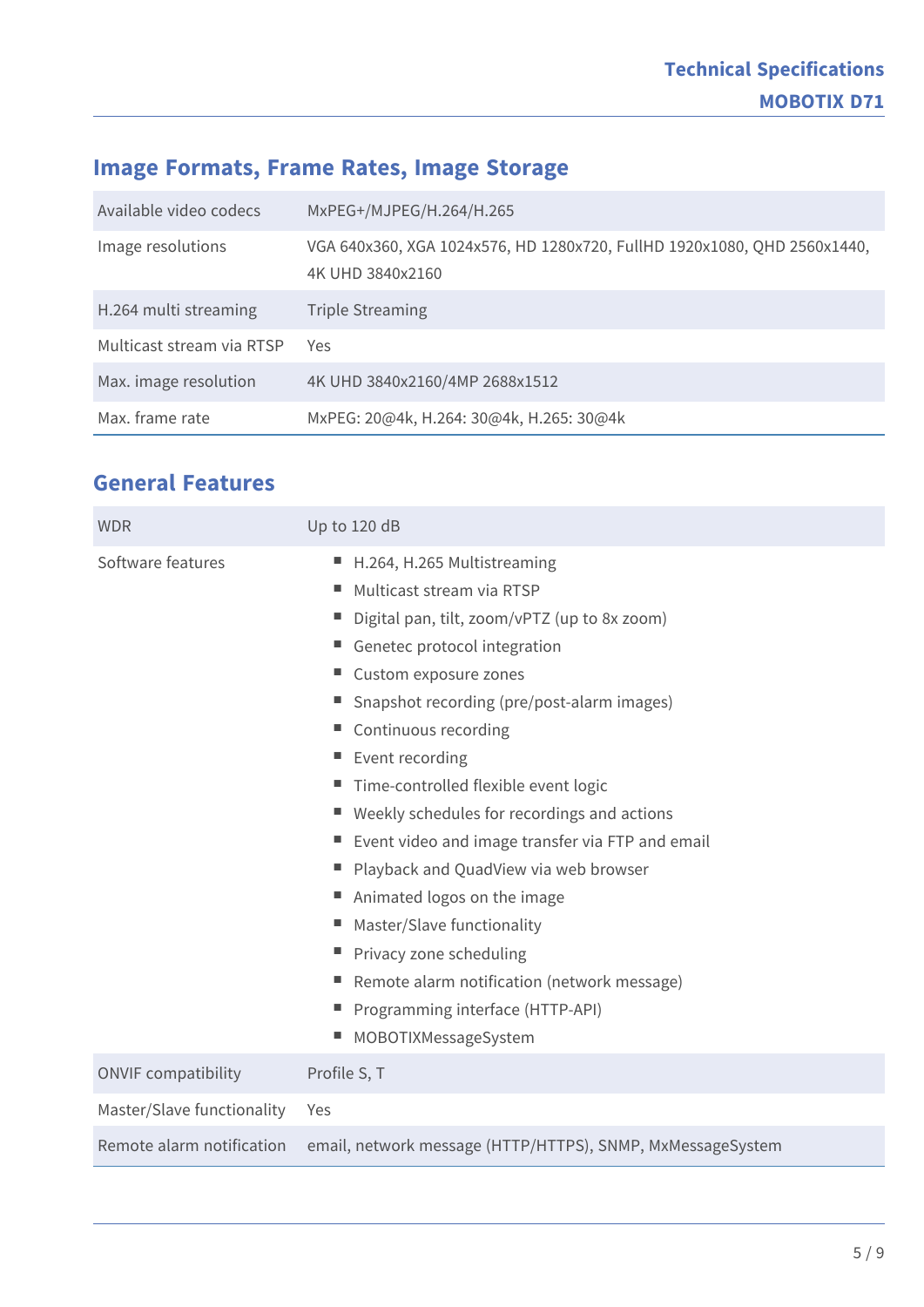### **Image Formats, Frame Rates, Image Storage**

| Available video codecs    | MxPEG+/MJPEG/H.264/H.265                                                                     |
|---------------------------|----------------------------------------------------------------------------------------------|
| Image resolutions         | VGA 640x360, XGA 1024x576, HD 1280x720, FullHD 1920x1080, QHD 2560x1440,<br>4K UHD 3840x2160 |
| H.264 multi streaming     | <b>Triple Streaming</b>                                                                      |
| Multicast stream via RTSP | Yes                                                                                          |
| Max. image resolution     | 4K UHD 3840x2160/4MP 2688x1512                                                               |
| Max. frame rate           | MxPEG: 20@4k, H.264: 30@4k, H.265: 30@4k                                                     |

#### **General Features**

| <b>WDR</b>                 | Up to 120 dB                                                                                                                                                                                                                                                                                                                                                                                                                                                                                                                                                                                                                                                                                  |
|----------------------------|-----------------------------------------------------------------------------------------------------------------------------------------------------------------------------------------------------------------------------------------------------------------------------------------------------------------------------------------------------------------------------------------------------------------------------------------------------------------------------------------------------------------------------------------------------------------------------------------------------------------------------------------------------------------------------------------------|
| Software features          | H.264, H.265 Multistreaming<br>ш<br>Multicast stream via RTSP<br>ш<br>Digital pan, tilt, zoom/vPTZ (up to 8x zoom)<br>Genetec protocol integration<br>Custom exposure zones<br>Snapshot recording (pre/post-alarm images)<br>н,<br>Continuous recording<br>н.<br>Event recording<br>н,<br>Time-controlled flexible event logic<br>Weekly schedules for recordings and actions<br>Event video and image transfer via FTP and email<br>Playback and QuadView via web browser<br>н.<br>Animated logos on the image<br>ш<br>Master/Slave functionality<br>ш<br>Privacy zone scheduling<br>Remote alarm notification (network message)<br>Programming interface (HTTP-API)<br>MOBOTIXMessageSystem |
| <b>ONVIF compatibility</b> | Profile S, T                                                                                                                                                                                                                                                                                                                                                                                                                                                                                                                                                                                                                                                                                  |
| Master/Slave functionality | Yes                                                                                                                                                                                                                                                                                                                                                                                                                                                                                                                                                                                                                                                                                           |
| Remote alarm notification  | email, network message (HTTP/HTTPS), SNMP, MxMessageSystem                                                                                                                                                                                                                                                                                                                                                                                                                                                                                                                                                                                                                                    |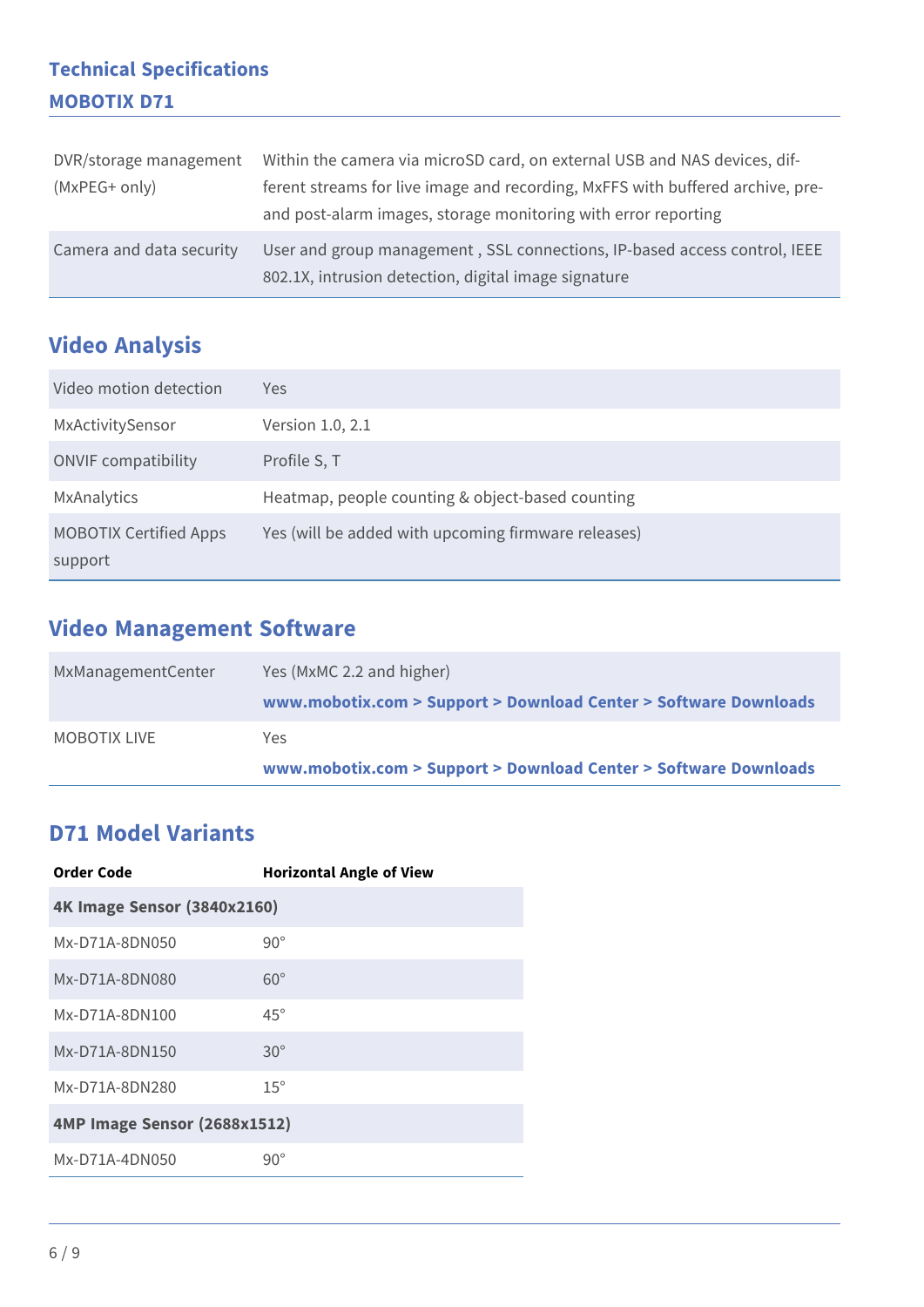#### **Technical Specifications MOBOTIX D71**

| DVR/storage management   | Within the camera via microSD card, on external USB and NAS devices, dif-                                                         |
|--------------------------|-----------------------------------------------------------------------------------------------------------------------------------|
| (MxPEG+ only)            | ferent streams for live image and recording, MxFFS with buffered archive, pre-                                                    |
|                          | and post-alarm images, storage monitoring with error reporting                                                                    |
| Camera and data security | User and group management, SSL connections, IP-based access control, IEEE<br>802.1X, intrusion detection, digital image signature |

### **Video Analysis**

| Video motion detection                   | Yes                                                 |
|------------------------------------------|-----------------------------------------------------|
| MxActivitySensor                         | Version 1.0, 2.1                                    |
| <b>ONVIF compatibility</b>               | Profile S, T                                        |
| MxAnalytics                              | Heatmap, people counting & object-based counting    |
| <b>MOBOTIX Certified Apps</b><br>support | Yes (will be added with upcoming firmware releases) |

### **Video Management Software**

| MxManagementCenter | Yes (MxMC 2.2 and higher)                                        |
|--------------------|------------------------------------------------------------------|
|                    | www.mobotix.com > Support > Download Center > Software Downloads |
| MOBOTIX LIVE       | Yes.                                                             |
|                    | www.mobotix.com > Support > Download Center > Software Downloads |

#### **D71 Model Variants**

| Order Code                         | <b>Horizontal Angle of View</b> |  |
|------------------------------------|---------------------------------|--|
| <b>4K Image Sensor (3840x2160)</b> |                                 |  |
| Mx-D71A-8DN050                     | $90^{\circ}$                    |  |
| Mx-D71A-8DN080                     | $60^\circ$                      |  |
| Mx-D71A-8DN100                     | $45^\circ$                      |  |
| Mx-D71A-8DN150                     | $30^\circ$                      |  |
| Mx-D71A-8DN280                     | $15^\circ$                      |  |
| 4MP Image Sensor (2688x1512)       |                                 |  |
| Mx-D71A-4DN050                     | $90^{\circ}$                    |  |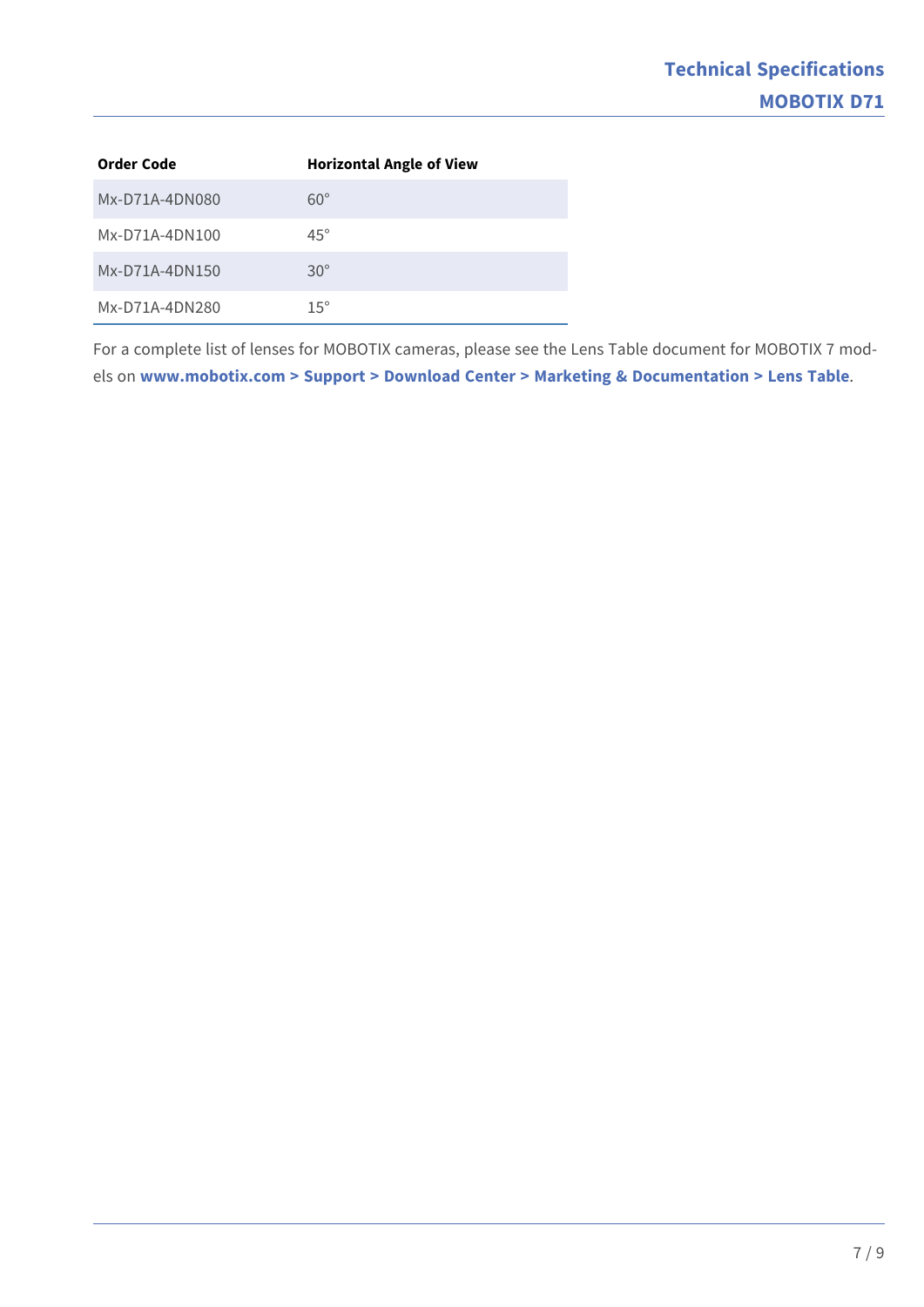| Order Code     | <b>Horizontal Angle of View</b> |
|----------------|---------------------------------|
| Mx-D71A-4DN080 | $60^\circ$                      |
| Mx-D71A-4DN100 | $45^\circ$                      |
| Mx-D71A-4DN150 | $30^\circ$                      |
| Mx-D71A-4DN280 | $15^{\circ}$                    |

For a complete list of lenses for MOBOTIX cameras, please see the Lens Table document for MOBOTIX 7 models on **[www.mobotix.com > Support > Download Center > Marketing & Documentation > Lens Table](https://www.mobotix.com/support/download-center/documenation/lens-table)**.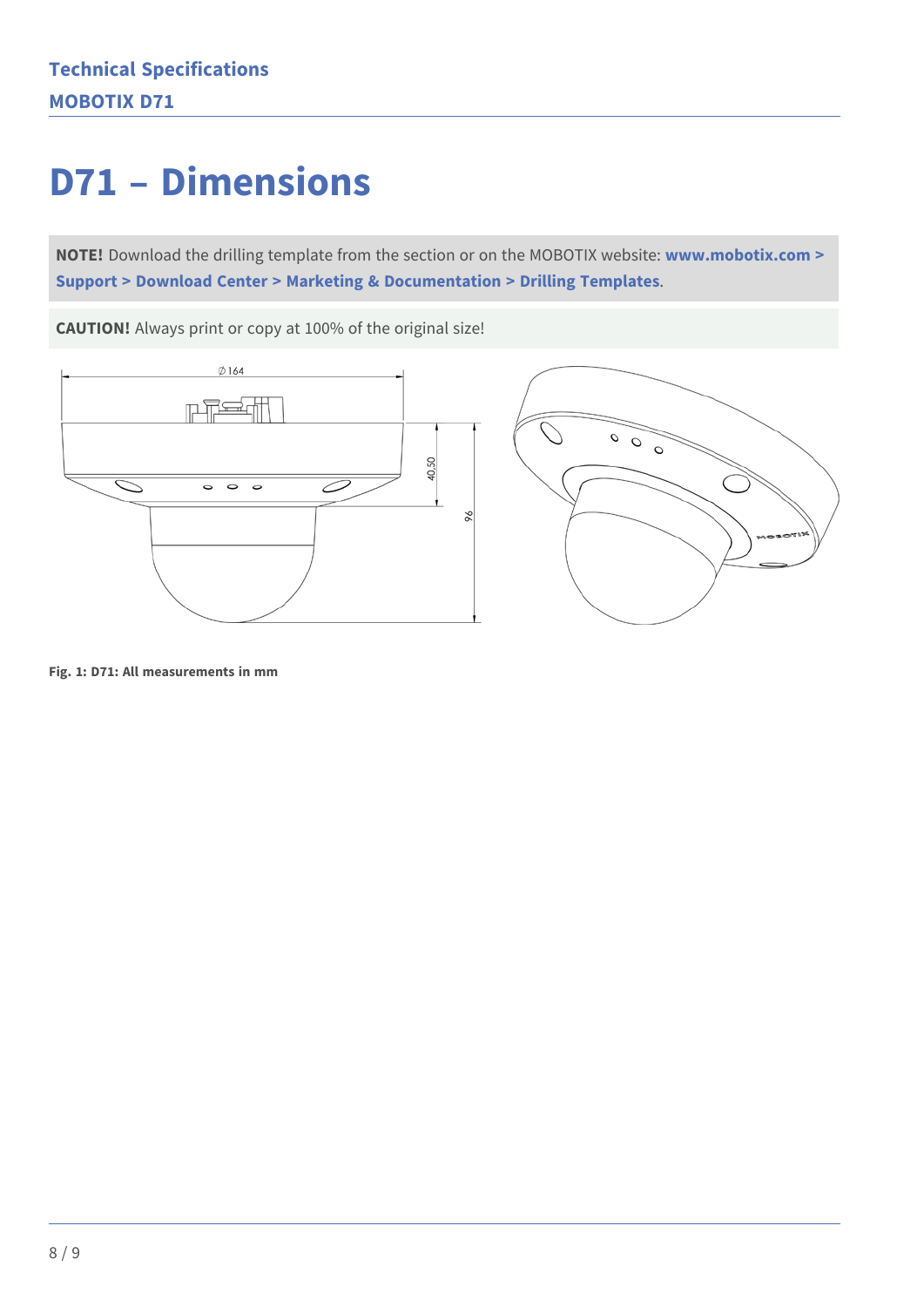## **D71 – Dimensions**

**NOTE!** Download the drilling template from the section or on the MOBOTIX website: **[www.mobotix.com >](https://www.mobotix.com/drilling-templates)  [Support > Download Center > Marketing & Documentation > Drilling Templates](https://www.mobotix.com/drilling-templates)**.

**CAUTION!** Always print or copy at 100% of the original size!





**Fig. 1: D71: All measurements in mm**